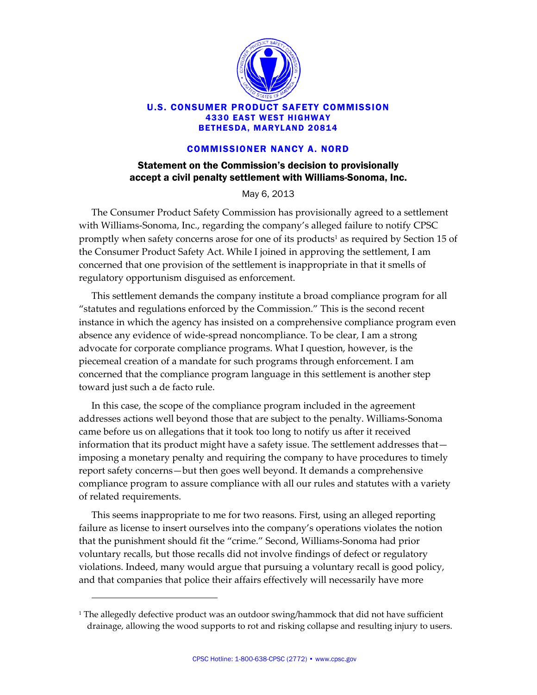

## U.S. CONSUMER PRODUCT SAFETY COMMISSION 4330 EAST WEST HIGHWAY BETHESDA, MARYLAND 20814

## COMMISSIONER NANCY A. NORD

## Statement on the Commission's decision to provisionally accept a civil penalty settlement with Williams-Sonoma, Inc.

May 6, 2013

The Consumer Product Safety Commission has provisionally agreed to a settlement with Williams‐Sonoma, Inc., regarding the company's alleged failure to notify CPSC promptly when safety concerns arose for one of its products<sup>1</sup> as required by Section 15 of the Consumer Product Safety Act. While I joined in approving the settlement, I am concerned that one provision of the settlement is inappropriate in that it smells of regulatory opportunism disguised as enforcement.

This settlement demands the company institute a broad compliance program for all "statutes and regulations enforced by the Commission." This is the second recent instance in which the agency has insisted on a comprehensive compliance program even absence any evidence of wide‐spread noncompliance. To be clear, I am a strong advocate for corporate compliance programs. What I question, however, is the piecemeal creation of a mandate for such programs through enforcement. I am concerned that the compliance program language in this settlement is another step toward just such a de facto rule.

In this case, the scope of the compliance program included in the agreement addresses actions well beyond those that are subject to the penalty. Williams‐Sonoma came before us on allegations that it took too long to notify us after it received information that its product might have a safety issue. The settlement addresses that imposing a monetary penalty and requiring the company to have procedures to timely report safety concerns—but then goes well beyond. It demands a comprehensive compliance program to assure compliance with all our rules and statutes with a variety of related requirements.

This seems inappropriate to me for two reasons. First, using an alleged reporting failure as license to insert ourselves into the company's operations violates the notion that the punishment should fit the "crime." Second, Williams‐Sonoma had prior voluntary recalls, but those recalls did not involve findings of defect or regulatory violations. Indeed, many would argue that pursuing a voluntary recall is good policy, and that companies that police their affairs effectively will necessarily have more

<u> 1989 - Johann Stein, marwolaethau a bh</u>

<sup>&</sup>lt;sup>1</sup> The allegedly defective product was an outdoor swing/hammock that did not have sufficient drainage, allowing the wood supports to rot and risking collapse and resulting injury to users.